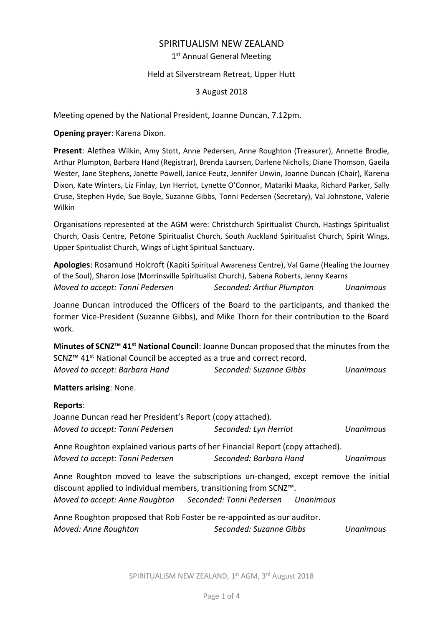# SPIRITUALISM NEW ZEALAND 1st Annual General Meeting

## Held at Silverstream Retreat, Upper Hutt

3 August 2018

Meeting opened by the National President, Joanne Duncan, 7.12pm.

**Opening prayer**: Karena Dixon.

**Present**: Alethea Wilkin, Amy Stott, Anne Pedersen, Anne Roughton (Treasurer), Annette Brodie, Arthur Plumpton, Barbara Hand (Registrar), Brenda Laursen, Darlene Nicholls, Diane Thomson, Gaeila Wester, Jane Stephens, Janette Powell, Janice Feutz, Jennifer Unwin, Joanne Duncan (Chair), Karena Dixon, Kate Winters, Liz Finlay, Lyn Herriot, Lynette O'Connor, Matariki Maaka, Richard Parker, Sally Cruse, Stephen Hyde, Sue Boyle, Suzanne Gibbs, Tonni Pedersen (Secretary), Val Johnstone, Valerie Wilkin

Organisations represented at the AGM were: Christchurch Spiritualist Church, Hastings Spiritualist Church, Oasis Centre, Petone Spiritualist Church, South Auckland Spiritualist Church, Spirit Wings, Upper Spiritualist Church, Wings of Light Spiritual Sanctuary.

**Apologies**: Rosamund Holcroft (Kapiti Spiritual Awareness Centre), Val Game (Healing the Journey of the Soul), Sharon Jose (Morrinsville Spiritualist Church), Sabena Roberts, Jenny Kearns *Moved to accept: Tonni Pedersen Seconded: Arthur Plumpton Unanimous*

Joanne Duncan introduced the Officers of the Board to the participants, and thanked the former Vice-President (Suzanne Gibbs), and Mike Thorn for their contribution to the Board work.

**Minutes of SCNZ™ 41st National Council**: Joanne Duncan proposed that the minutes from the SCNZ<sup>™</sup> 41<sup>st</sup> National Council be accepted as a true and correct record. *Moved to accept: Barbara Hand Seconded: Suzanne Gibbs Unanimous*

### **Matters arising**: None.

### **Reports**:

| Joanne Duncan read her President's Report (copy attached).                                                                                                                                                                                  |                        |                  |  |  |  |
|---------------------------------------------------------------------------------------------------------------------------------------------------------------------------------------------------------------------------------------------|------------------------|------------------|--|--|--|
| Moved to accept: Tonni Pedersen                                                                                                                                                                                                             | Seconded: Lyn Herriot  | <b>Unanimous</b> |  |  |  |
| Anne Roughton explained various parts of her Financial Report (copy attached).                                                                                                                                                              |                        |                  |  |  |  |
| Moved to accept: Tonni Pedersen                                                                                                                                                                                                             | Seconded: Barbara Hand | <b>Unanimous</b> |  |  |  |
| Anne Roughton moved to leave the subscriptions un-changed, except remove the initial<br>discount applied to individual members, transitioning from SCNZ <sup>™</sup> .<br>Moved to accept: Anne Roughton Seconded: Tonni Pedersen Unanimous |                        |                  |  |  |  |
| Anne Roughton proposed that Rob Foster be re-appointed as our auditor.                                                                                                                                                                      |                        |                  |  |  |  |

*Moved: Anne Roughton Seconded: Suzanne Gibbs Unanimous*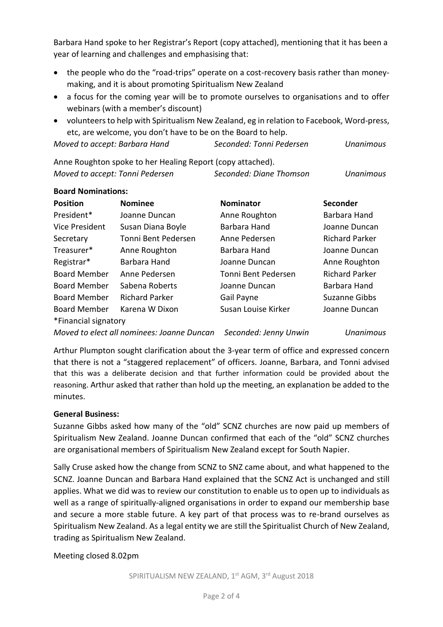Barbara Hand spoke to her Registrar's Report (copy attached), mentioning that it has been a year of learning and challenges and emphasising that:

- the people who do the "road-trips" operate on a cost-recovery basis rather than moneymaking, and it is about promoting Spiritualism New Zealand
- a focus for the coming year will be to promote ourselves to organisations and to offer webinars (with a member's discount)
- volunteers to help with Spiritualism New Zealand, eg in relation to Facebook, Word-press, etc, are welcome, you don't have to be on the Board to help.

| Moved to accept: Barbara Hand | Seconded: Tonni Pedersen | Unanimous |
|-------------------------------|--------------------------|-----------|
|                               |                          |           |

Anne Roughton spoke to her Healing Report (copy attached). *Moved to accept: Tonni Pedersen Seconded: Diane Thomson Unanimous*

# **Board Nominations:**

| <b>Position</b>      | <b>Nominee</b>        | <b>Nominator</b>    | <b>Seconder</b>       |
|----------------------|-----------------------|---------------------|-----------------------|
| President*           | Joanne Duncan         | Anne Roughton       | Barbara Hand          |
| Vice President       | Susan Diana Boyle     | Barbara Hand        | Joanne Duncan         |
| Secretary            | Tonni Bent Pedersen   | Anne Pedersen       | <b>Richard Parker</b> |
| Treasurer*           | Anne Roughton         | Barbara Hand        | Joanne Duncan         |
| Registrar*           | Barbara Hand          | Joanne Duncan       | Anne Roughton         |
| <b>Board Member</b>  | Anne Pedersen         | Tonni Bent Pedersen | <b>Richard Parker</b> |
| <b>Board Member</b>  | Sabena Roberts        | Joanne Duncan       | Barbara Hand          |
| <b>Board Member</b>  | <b>Richard Parker</b> | Gail Payne          | Suzanne Gibbs         |
| <b>Board Member</b>  | Karena W Dixon        | Susan Louise Kirker | Joanne Duncan         |
| *Financial signatory |                       |                     |                       |

*Moved to elect all nominees: Joanne Duncan Seconded: Jenny Unwin Unanimous*

Arthur Plumpton sought clarification about the 3-year term of office and expressed concern that there is not a "staggered replacement" of officers. Joanne, Barbara, and Tonni advised that this was a deliberate decision and that further information could be provided about the reasoning. Arthur asked that rather than hold up the meeting, an explanation be added to the minutes.

## **General Business:**

Suzanne Gibbs asked how many of the "old" SCNZ churches are now paid up members of Spiritualism New Zealand. Joanne Duncan confirmed that each of the "old" SCNZ churches are organisational members of Spiritualism New Zealand except for South Napier.

Sally Cruse asked how the change from SCNZ to SNZ came about, and what happened to the SCNZ. Joanne Duncan and Barbara Hand explained that the SCNZ Act is unchanged and still applies. What we did was to review our constitution to enable us to open up to individuals as well as a range of spiritually-aligned organisations in order to expand our membership base and secure a more stable future. A key part of that process was to re-brand ourselves as Spiritualism New Zealand. As a legal entity we are still the Spiritualist Church of New Zealand, trading as Spiritualism New Zealand.

Meeting closed 8.02pm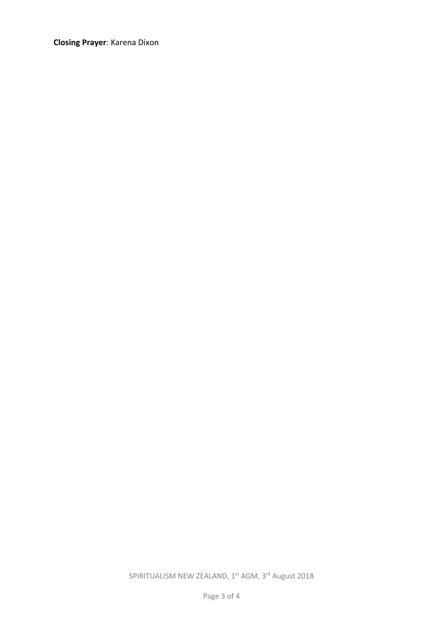**Closing Prayer**: Karena Dixon